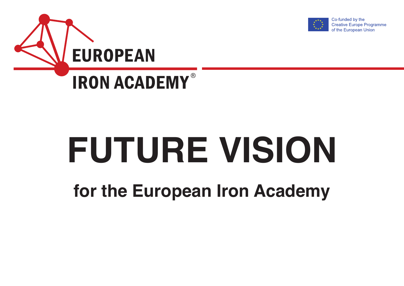



# **FUTURE VISION**

**for the European Iron Academy**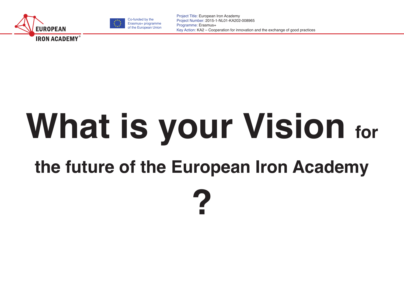



# **What is your Vision for**

# **the future of the European Iron Academy**

**?**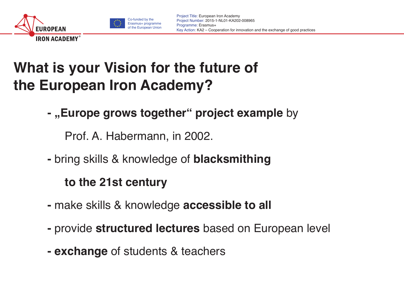



# **What is your Vision for the future of the European Iron Academy?**

**-** "Europe grows together" project example by

Prof. A. Habermann, in 2002.

**-** bring skills & knowledge of **blacksmithing** 

#### **to the 21st century**

- make skills & knowledge **accessible to all**
- provide **structured lectures** based on European level
- **exchange** of students & teachers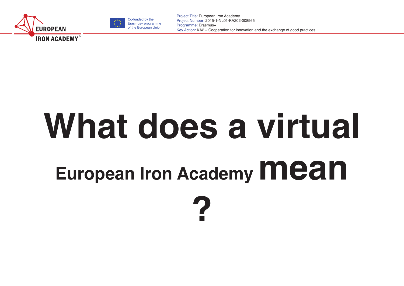



# **What does a virtual European Iron Academy Mean**

**?**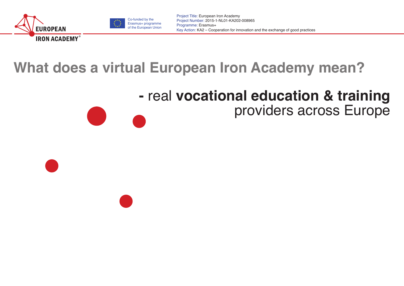



# **What does a virtual European Iron Academy mean?**

### **-** real **vocational education & training** providers across Europe

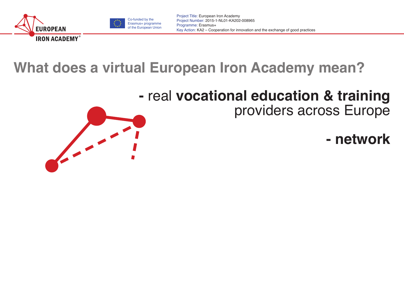



# **What does a virtual European Iron Academy mean?**

#### **-** real **vocational education & training** providers across Europe

**- network**

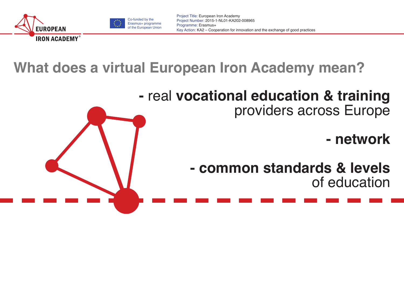





# **What does a virtual European Iron Academy mean?**

#### **-** real **vocational education & training** providers across Europe

### **- network**

**- common standards & levels** of education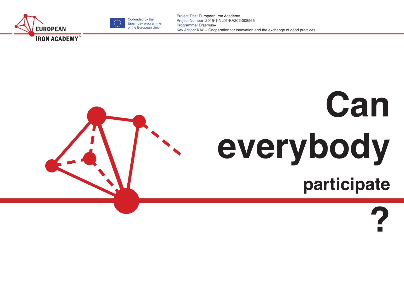



# **Can everybody**

**participate**

**?**

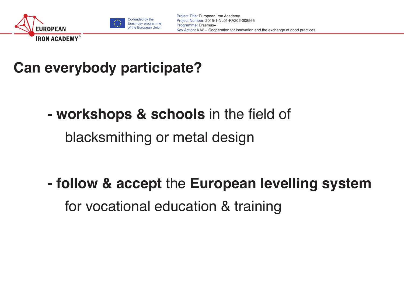



# **Can everybody participate?**

- **workshops & schools** in the field of blacksmithing or metal design
- **follow & accept** the **European levelling system** for vocational education & training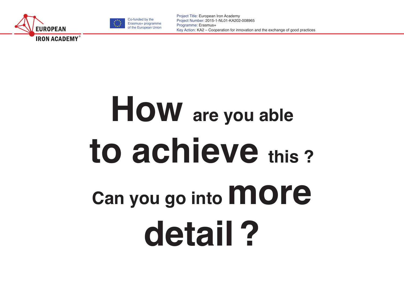



# **How are you able to achieve this ?** Can you go into **MOre detail?**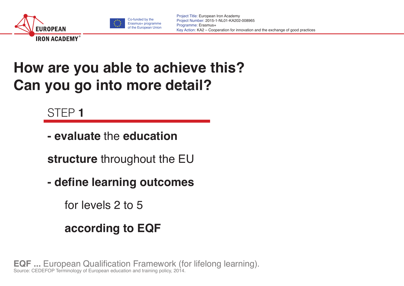



# **How are you able to achieve this? Can you go into more detail?**

#### STEP **1**

**- evaluate** the **education** 

**structure** throughout the EU

**- define learning outcomes** 

for levels 2 to 5

#### **according to EQF**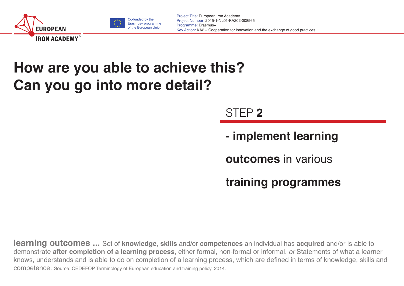



# **How are you able to achieve this? Can you go into more detail?**

#### STEP **2**

**- implement learning** 

**outcomes** in various

**training programmes**

**learning outcomes ...** Set of **knowledge**, **skills** and/or **competences** an individual has **acquired** and/or is able to demonstrate **after completion of a learning process**, either formal, non-formal or informal. *or* Statements of what a learner knows, understands and is able to do on completion of a learning process, which are defined in terms of knowledge, skills and competence. Source: CEDEFOP Terminology of European education and training policy, 2014.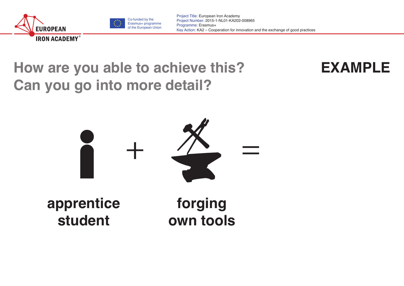



# **How are you able to achieve this? Can you go into more detail?**



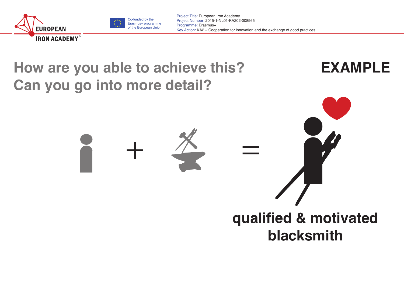



 $+$   $\frac{\cancel{x}}{\cancel{x}}$  =

# **How are you able to achieve this? Can you go into more detail?**



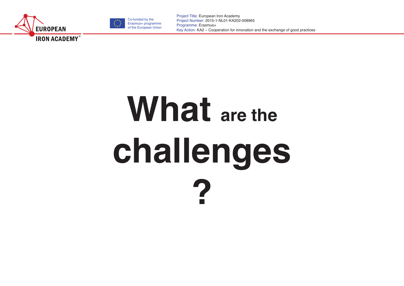



# What are the **challenges ?**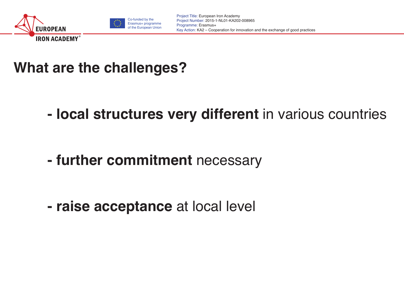



### **What are the challenges?**

**- local structures very different** in various countries

**- further commitment** necessary

**- raise acceptance** at local level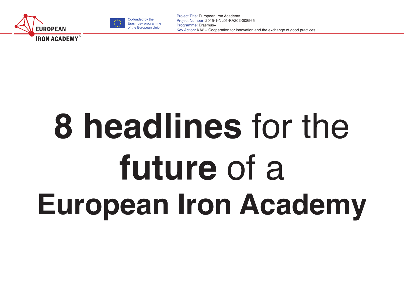



# **8 headlines** for the **future** of a **European Iron Academy**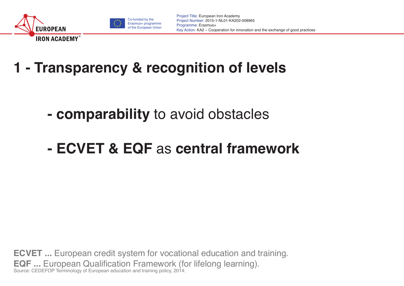



**1 - Transparency & recognition of levels**

- **comparability** to avoid obstacles
- **- ECVET & EQF** as **central framework**

**ECVET ...** European credit system for vocational education and training. **EQF ...** European Qualification Framework (for lifelong learning). Source: CEDEFOP Terminology of European education and training policy, 2014.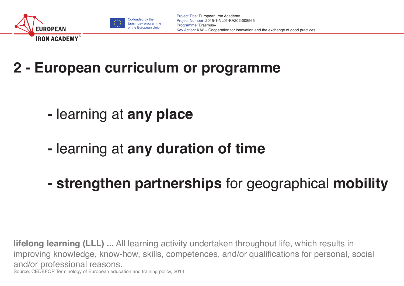



# **2 - European curriculum or programme**

- learning at **any place**
- **-** learning at **any duration of time**
- **strengthen partnerships** for geographical **mobility**

**lifelong learning (LLL) ...** All learning activity undertaken throughout life, which results in improving knowledge, know-how, skills, competences, and/or qualifications for personal, social and/or professional reasons. Source: CEDEFOP Terminology of European education and training policy, 2014.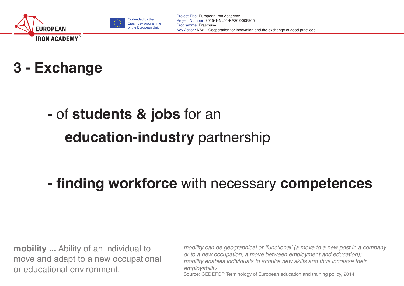





# **-** of **students & jobs** for an

# **education-industry** partnership

### **- finding workforce** with necessary **competences**

**mobility ...** Ability of an individual to move and adapt to a new occupational or educational environment.

mobility can be geographical or 'functional' (a move to a new post in a company or to a new occupation, a move between employment and education); mobility enables individuals to acquire new skills and thus increase their *employability* Source: CEDEFOP Terminology of European education and training policy, 2014.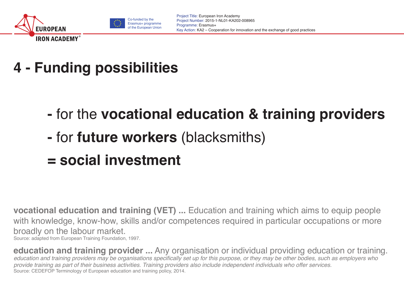



- **4 Funding possibilities**
	- for the **vocational education & training providers**
	- **-** for **future workers** (blacksmiths)
	- **= social investment**

**vocational education and training (VET) ...** Education and training which aims to equip people with knowledge, know-how, skills and/or competences required in particular occupations or more broadly on the labour market.

Source: adapted from European Training Foundation, 1997.

**education and training provider ...** Any organisation or individual providing education or training. education and training providers may be organisations specifically set up for this purpose, or they may be other bodies, such as employers who provide training as part of their business activities. Training providers also include independent individuals who offer services. Source: CEDEFOP Terminology of European education and training policy, 2014.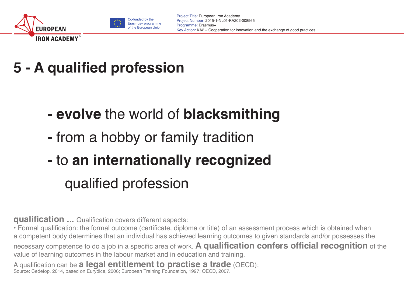



# **5 - A qualified profession**

- **evolve** the world of **blacksmithing**
- **-** from a hobby or family tradition
- **-** to **an internationally recognized**  qualified profession

**qualification ...** Qualification covers different aspects:

• Formal qualification: the formal outcome (certificate, diploma or title) of an assessment process which is obtained when a competent body determines that an individual has achieved learning outcomes to given standards and/or possesses the necessary competence to do a job in a specific area of work. **A qualification confers official recognition** of the value of learning outcomes in the labour market and in education and training.

A qualification can be **a legal entitlement to practise a trade** (OECD); Source: Cedefop, 2014, based on Eurydice, 2006; European Training Foundation, 1997; OECD, 2007.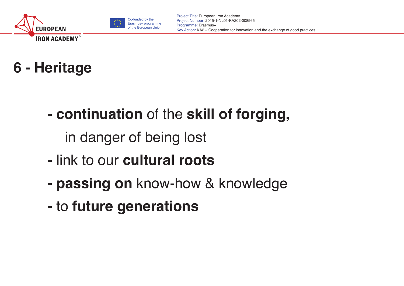





**- continuation** of the **skill of forging,** 

in danger of being lost

- link to our **cultural roots**
- **- passing on** know-how & knowledge
- **-** to **future generations**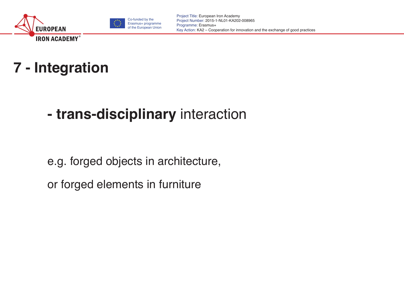



# **7 - Integration**

### **- trans-disciplinary** interaction

e.g. forged objects in architecture,

or forged elements in furniture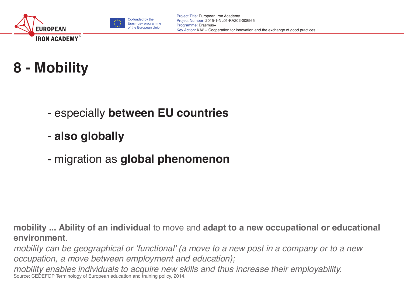



# **8 - Mobility**

- especially **between EU countries**
- **also globally**
- migration as **global phenomenon**

**mobility ... Ability of an individual** to move and **adapt to a new occupational or educational environment**.

mobility can be geographical or 'functional' (a move to a new post in a company or to a new occupation, a move between employment and education);

mobility enables individuals to acquire new skills and thus increase their employability.<br>Source: CEDEFOP Terminology of European education and training policy, 2014.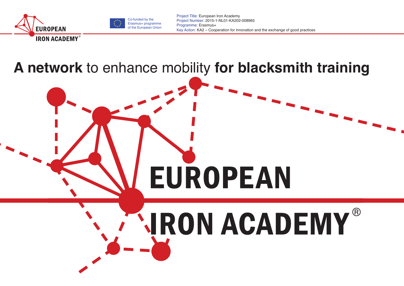



#### **A network** to enhance mobility **for blacksmith training**

# **ARON ACADEMY®**

**EUROPEAN**